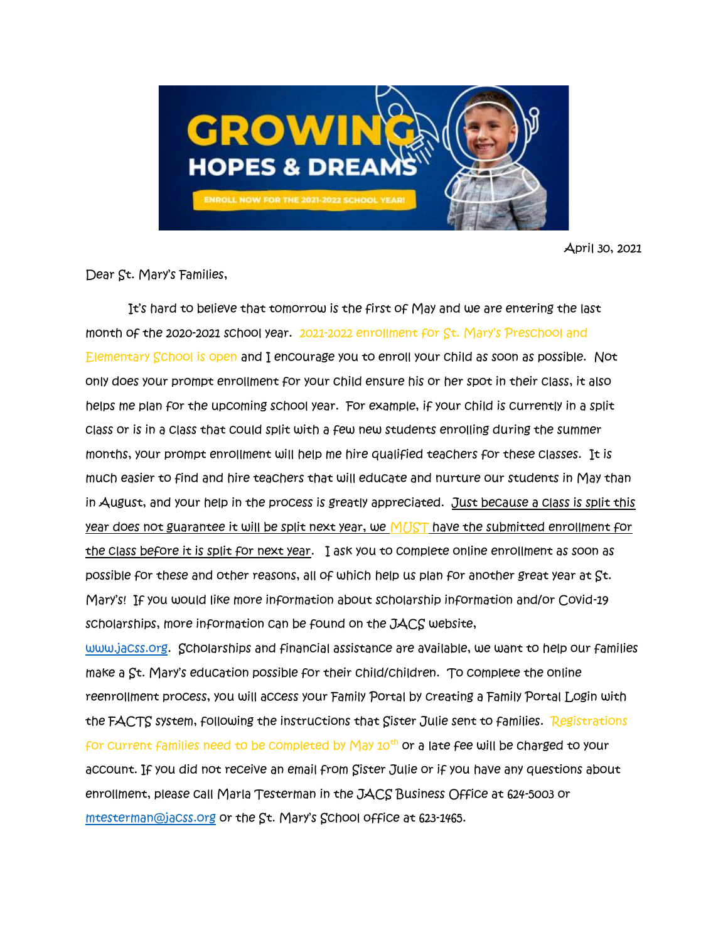

April 30, 2021

Dear St. Mary's Families,

 It's hard to believe that tomorrow is the first of May and we are entering the last month of the 2020-2021 school year. 2021-2022 enrollment for St. Mary's Preschool and Elementary School is open and I encourage you to enroll your child as soon as possible. Not only does your prompt enrollment for your child ensure his or her spot in their class, it also helps me plan for the upcoming school year. For example, if your child is currently in a split class or is in a class that could split with a few new students enrolling during the summer months, your prompt enrollment will help me hire qualified teachers for these classes. It is much easier to find and hire teachers that will educate and nurture our students in May than in August, and your help in the process is greatly appreciated. Just because a class is split this year does not guarantee it will be split next year, we MUST have the submitted enrollment for the class before it is split for next year. I ask you to complete online enrollment as soon as possible for these and other reasons, all of which help us plan for another great year at St. Mary's! If you would like more information about scholarship information and/or Covid-19 scholarships, more information can be found on the JACS website,

[www.jacss.org.](http://www.jacss.org/) Scholarships and financial assistance are available, we want to help our families make a St. Mary's education possible for their child/children. To complete the online reenrollment process, you will access your Family Portal by creating a Family Portal Login with the FACTS system, following the instructions that Sister Julie sent to families. Registrations for current families need to be completed by May  $10^{th}$  or a late fee will be charged to your account. If you did not receive an email from Sister Julie or if you have any questions about enrollment, please call Marla Testerman in the JACS Business Office at 624-5003 or [mtesterman@jacss.org](mailto:mtesterman@jacss.org) or the St. Mary's School office at 623-1465.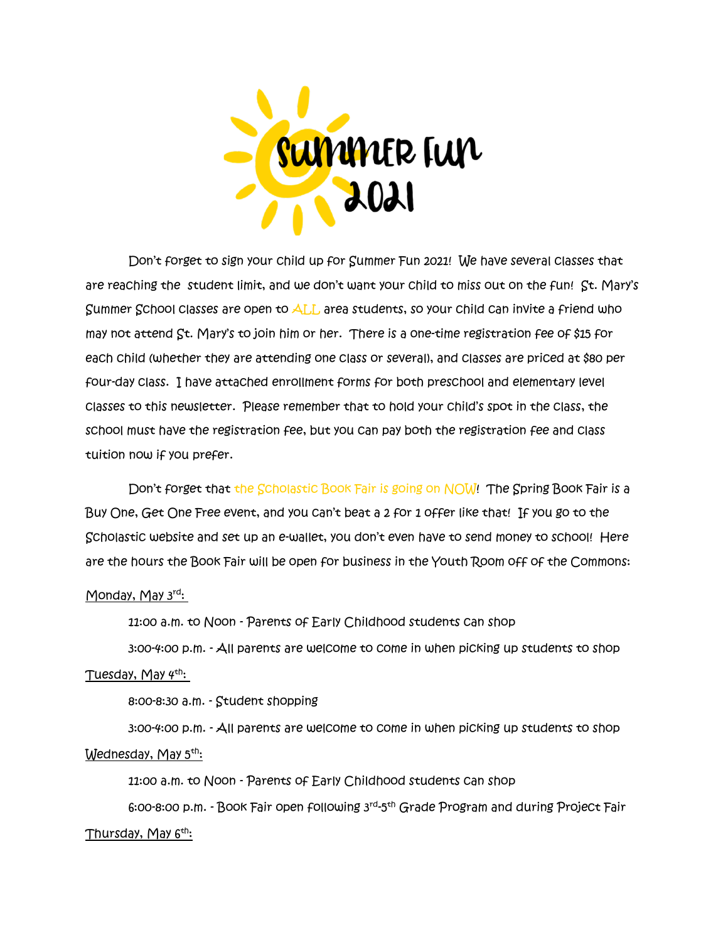

Don't forget to sign your child up for Summer Fun 2021! We have several classes that are reaching the student limit, and we don't want your child to miss out on the fun! St. Mary's Summer School classes are open to ALL area students, so your child can invite a friend who may not attend St. Mary's to join him or her. There is a one-time registration fee of \$15 for each child (whether they are attending one class or several), and classes are priced at \$80 per four-day class. I have attached enrollment forms for both preschool and elementary level classes to this newsletter. Please remember that to hold your child's spot in the class, the school must have the registration fee, but you can pay both the registration fee and class tuition now if you prefer.

Don't forget that the Scholastic Book Fair is going on NOW! The Spring Book Fair is a Buy One, Get One Free event, and you can't beat a 2 for 1 offer like that! If you go to the Scholastic website and set up an e-wallet, you don't even have to send money to school! Here are the hours the Book Fair will be open for business in the Youth Room off of the Commons:

## Monday, May 3rd:

11:00 a.m. to Noon - Parents of Early Childhood students can shop

 3:00-4:00 p.m. - All parents are welcome to come in when picking up students to shop Tuesday, May  $4<sup>th</sup>$ :

8:00-8:30 a.m. - Student shopping

 3:00-4:00 p.m. - All parents are welcome to come in when picking up students to shop Wednesday, May 5<sup>th</sup>:

11:00 a.m. to Noon - Parents of Early Childhood students can shop

6:00-8:00 p.m. - Book Fair open following 3<sup>rd</sup>-5<sup>th</sup> Grade Program and during Project Fair Thursday, May 6<sup>th</sup>: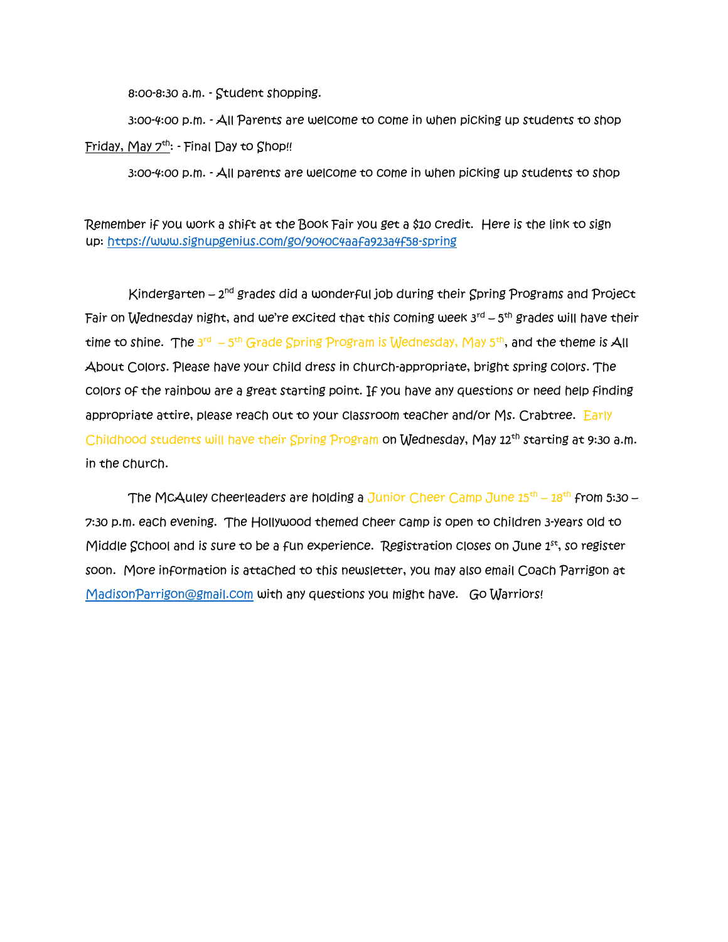8:00-8:30 a.m. - Student shopping.

 3:00-4:00 p.m. - All Parents are welcome to come in when picking up students to shop Friday, May  $7<sup>th</sup>$ : - Final Day to Shop!!

3:00-4:00 p.m. - All parents are welcome to come in when picking up students to shop

Remember if you work a shift at the Book Fair you get a \$10 credit. Here is the link to sign up: <https://www.signupgenius.com/go/9040c4aafa923a4f58-spring>

Kindergarten – 2<sup>nd</sup> grades did a wonderful job during their Spring Programs and Project Fair on Wednesday night, and we're excited that this coming week 3 $^{\sf rd}$  – 5<sup>th</sup> grades will have their time to shine. The 3<sup>rd</sup> – 5<sup>th</sup> Grade Spring Program is Wednesday, May 5<sup>th</sup>, and the theme is All About Colors. Please have your child dress in church-appropriate, bright spring colors. The colors of the rainbow are a great starting point. If you have any questions or need help finding appropriate attire, please reach out to your classroom teacher and/or Ms. Crabtree. Early Childhood students will have their Spring Program on Wednesday, May 12<sup>th</sup> starting at 9:30 a.m. in the church.

The McAuley cheerleaders are holding a Junior Cheer Camp June  $15^{\text{th}}$  –  $18^{\text{th}}$  from 5:30 – 7:30 p.m. each evening. The Hollywood themed cheer camp is open to children 3-years old to Middle School and is sure to be a fun experience. Registration closes on June  $1<sup>st</sup>$ , so register soon. More information is attached to this newsletter, you may also email Coach Parrigon at [MadisonParrigon@gmail.com](mailto:MadisonParrigon@gmail.com) with any questions you might have. Go Warriors!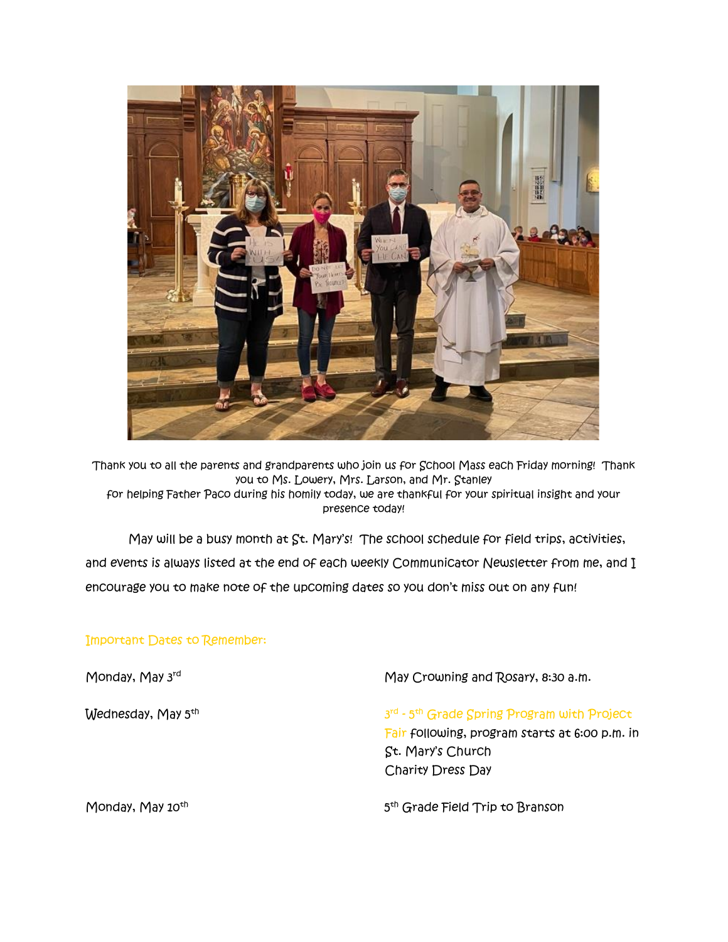

Thank you to all the parents and grandparents who join us for School Mass each Friday morning! Thank you to Ms. Lowery, Mrs. Larson, and Mr. Stanley for helping Father Paco during his homily today, we are thankful for your spiritual insight and your presence today!

May will be a busy month at  $St.$  Mary's! The school schedule for field trips, activities, and events is always listed at the end of each weekly Communicator Newsletter from me, and I encourage you to make note of the upcoming dates so you don't miss out on any fun!

## Important Dates to Remember:

Monday, May 3rd May Crowning and Rosary, 8:30 a.m. Wednesday, May 5<sup>th</sup>  $3<sup>th</sup>$  and  $3<sup>th</sup>$  and  $3<sup>th</sup>$ <sup>rd</sup> - 5<sup>th</sup> Grade Spring Program with Project Fair following, program starts at 6:00 p.m. in St. Mary's Church Charity Dress Day Monday, May 10<sup>th</sup>  $5<sub>5</sub>$ 5<sup>th</sup> Grade Field Trip to Branson